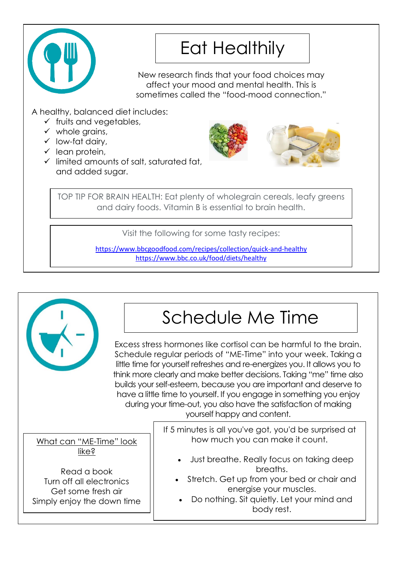

# Eat Healthily

New research finds that your food choices may affect your mood and mental health. This is sometimes called the "food-mood connection."

A healthy, balanced diet includes:

- $\checkmark$  fruits and vegetables,
- $\checkmark$  whole grains,
- low-fat dairy,
- $\checkmark$  lean protein,
- $\checkmark$  limited amounts of salt, saturated fat, and added sugar.



TOP TIP FOR BRAIN HEALTH: Eat plenty of wholegrain cereals, leafy greens and dairy foods. Vitamin B is essential to brain health.

Visit the following for some tasty recipes:

<https://www.bbcgoodfood.com/recipes/collection/quick-and-healthy> <https://www.bbc.co.uk/food/diets/healthy>

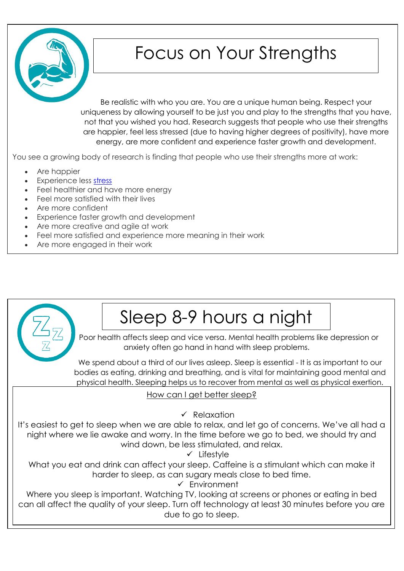

## Focus on Your Strengths

Be realistic with who you are. You are a unique human being. Respect your uniqueness by allowing yourself to be just you and play to the strengths that you have, not that you wished you had. Research suggests that people who use their strengths are happier, feel less stressed (due to having higher degrees of positivity), have more energy, are more confident and experience faster growth and development.

You see a growing body of research is finding that people who use their strengths more at work:

- Are happier
- Experience less [stress](https://www.psychologytoday.com/gb/basics/stress)
- Feel healthier and have more energy
- Feel more satisfied with their lives
- Are more confident
- Experience faster growth and development
- Are more creative and agile at work
- Feel more satisfied and experience more meaning in their work
- Are more engaged in their work

# Sleep 8-9 hours a night

Poor health affects sleep and vice versa. Mental health problems like depression or anxiety often go hand in hand with sleep problems.

We spend about a third of our lives asleep. Sleep is essential - It is as important to our bodies as eating, drinking and breathing, and is vital for maintaining good mental and physical health. Sleeping helps us to recover from mental as well as physical exertion.

### How can I get better sleep?

 $\sqrt{R}$  Relaxation

It's easiest to get to sleep when we are able to relax, and let go of concerns. We've all had a night where we lie awake and worry. In the time before we go to bed, we should try and wind down, be less stimulated, and relax.

 $\checkmark$  Lifestyle

What you eat and drink can affect your sleep. Caffeine is a stimulant which can make it harder to sleep, as can sugary meals close to bed time.

Environment

Where you sleep is important. Watching TV, looking at screens or phones or eating in bed can all affect the quality of your sleep. Turn off technology at least 30 minutes before you are due to go to sleep.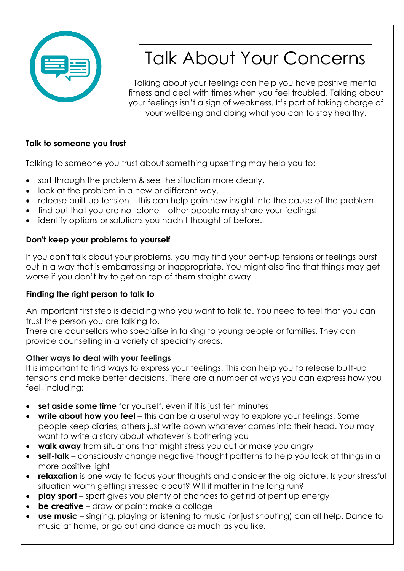

# Talk About Your Concerns

Talking about your feelings can help you have positive mental fitness and deal with times when you feel troubled. Talking about your feelings isn't a sign of weakness. It's part of taking charge of your wellbeing and doing what you can to stay healthy.

### **Talk to someone you trust**

Talking to someone you trust about something upsetting may help you to:

- sort through the problem & see the situation more clearly.
- look at the problem in a new or different way.
- release built-up tension this can help gain new insight into the cause of the problem.
- find out that you are not alone other people may share your feelings!
- identify options or solutions you hadn't thought of before.

## **Don't keep your problems to yourself**

If you don't talk about your problems, you may find your pent-up tensions or feelings burst out in a way that is embarrassing or inappropriate. You might also find that things may get worse if you don't try to get on top of them straight away.

## **Finding the right person to talk to**

An important first step is deciding who you want to talk to. You need to feel that you can trust the person you are talking to.

There are counsellors who specialise in talking to young people or families. They can provide counselling in a variety of specialty areas.

## **Other ways to deal with your feelings**

It is important to find ways to express your feelings. This can help you to release built-up tensions and make better decisions. There are a number of ways you can express how you feel, including:

- **set aside some time** for yourself, even if it is just ten minutes
- **write about how you feel** this can be a useful way to explore your feelings. Some people keep diaries, others just write down whatever comes into their head. You may want to write a story about whatever is bothering you
- **walk away** from situations that might stress you out or make you angry
- **self-talk** consciously change negative thought patterns to help you look at things in a more positive light
- **relaxation** is one way to focus your thoughts and consider the big picture. Is your stressful situation worth getting stressed about? Will it matter in the long run?
- **play sport** sport gives you plenty of chances to get rid of pent up energy
- **be creative** draw or paint; make a collage
- **use music** singing, playing or listening to music (or just shouting) can all help. Dance to music at home, or go out and dance as much as you like.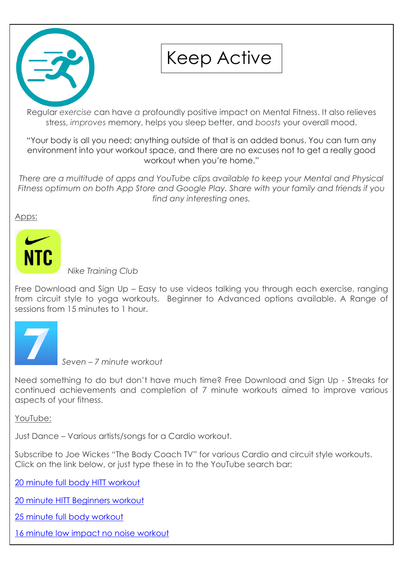

## Keep Active

Regular *exercise* can have *a* profoundly positive impact on Mental Fitness. It also relieves stress, *improves* memory, helps you sleep better, and *boosts* your overall mood.

"Your body is all you need; anything outside of that is an added bonus. You can turn any environment into your workout space, and there are no excuses not to get a really good workout when you're home."

*There are a multitude of apps and YouTube clips available to keep your Mental and Physical Fitness optimum on both App Store and Google Play. Share with your family and friends if you find any interesting ones.*

Apps:



 *Nike Training Club*

Free Download and Sign Up – Easy to use videos talking you through each exercise, ranging from circuit style to yoga workouts. Beginner to Advanced options available. A Range of sessions from 15 minutes to 1 hour.



 *Seven – 7 minute workout*

Need something to do but don't have much time? Free Download and Sign Up - Streaks for continued achievements and completion of 7 minute workouts aimed to improve various aspects of your fitness.

YouTube:

Just Dance – Various artists/songs for a Cardio workout.

Subscribe to Joe Wickes "The Body Coach TV" for various Cardio and circuit style workouts. Click on the link below, or just type these in to the YouTube search bar:

[20 minute full body HITT workout](https://www.youtube.com/watch?v=fHfTCd2q-rg)

[20 minute HITT Beginners workout](https://www.youtube.com/watch?v=q20pLhdoEoY)

[25 minute full body workout](https://www.youtube.com/watch?v=Hr-p7TikhPI)

[16 minute low impact no noise workout](https://www.youtube.com/watch?v=TwOuh73cGGQ)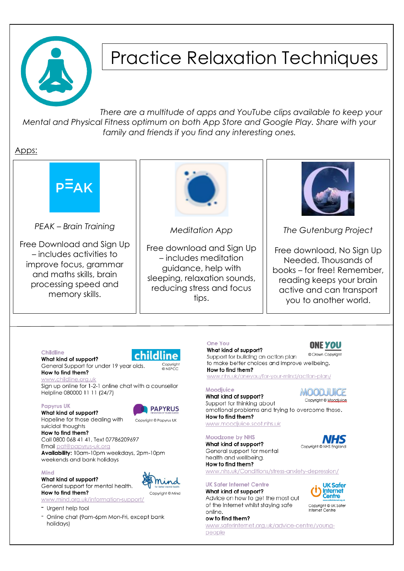

## **Practice Relaxation Techniques**

There are a multitude of apps and YouTube clips available to keep your Mental and Physical Fitness optimum on both App Store and Google Play. Share with your family and friends if you find any interesting ones.

Apps:





Hopeline for those dealing with Copyright © Papyrus UK

How to find them? Call 0800 068 41 41, Text 07786209697 Email pat@papyrus-uk.org Availability: 10am-10pm weekdays, 2pm-10pm

weekends and bank holidays

#### Mind

What kind of support? General support for mental health. How to find them?



www.mind.org.uk/information-support/

- Urgent help tool

suicidal thoughts

- Online chat (9am-6pm Mon-Fri, except bank holidays)

emotional problems and trying to overcome these. How to find them? www.moodjuice.scot.nhs.uk

#### **Moodzone by NHS**

What kind of support? General support for mental health and wellbeing. How to find them?

### www.nhs.uk/Conditions/stress-anxiety-depression/

#### **UK Safer Internet Centre**

What kind of support? Advice on how to get the most out of the Internet whilst staying safe online

#### ow to find them?

www.saferinternet.org.uk/advice-centre/youngpeople







Copyright @ UK Safer